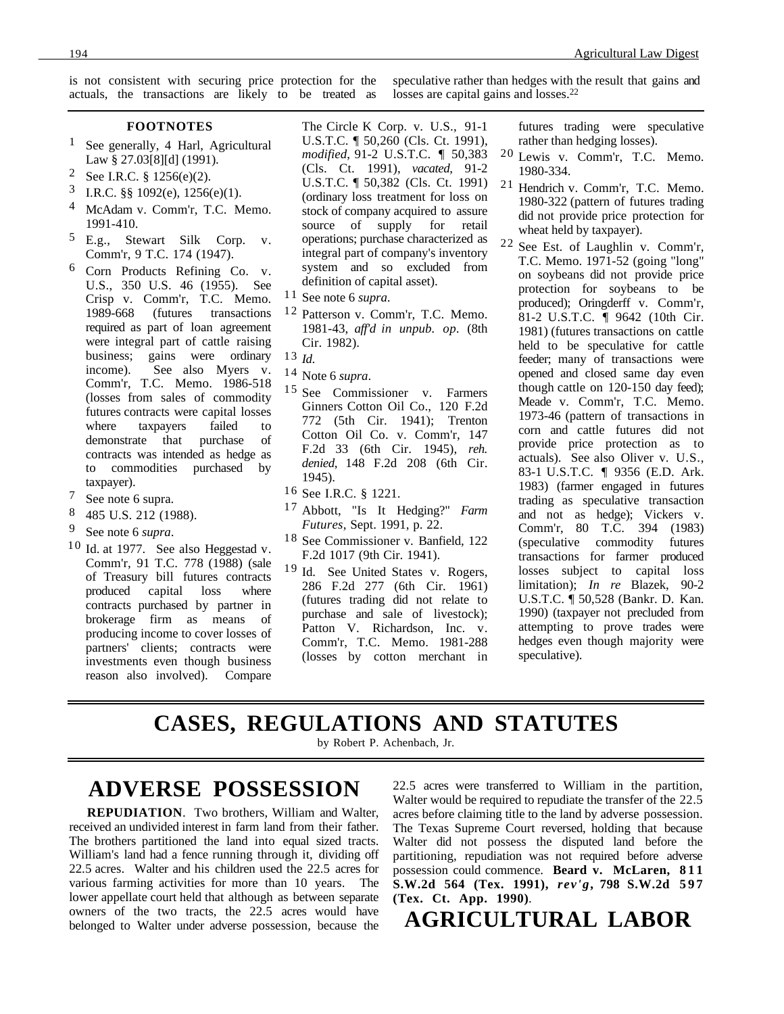is not consistent with securing price protection for the actuals, the transactions are likely to be treated as speculative rather than hedges with the result that gains and losses are capital gains and losses.<sup>22</sup>

#### **FOOTNOTES**

- 1 See generally, 4 Harl, Agricultural Law § 27.03[8][d] (1991).
- 2 See I.R.C. § 1256(e)(2).
- 3 I.R.C. §§ 1092(e), 1256(e)(1).
- McAdam v. Comm'r, T.C. Memo. 1991-410.
- 5 E.g., Stewart Silk Corp. v. Comm'r, 9 T.C. 174 (1947).
- 6 Corn Products Refining Co. v. U.S., 350 U.S. 46 (1955). See Crisp v. Comm'r, T.C. Memo. 1989-668 (futures transactions required as part of loan agreement were integral part of cattle raising business; gains were ordinary income). See also Myers v. Comm'r, T.C. Memo. 1986-518 (losses from sales of commodity futures contracts were capital losses where taxpayers failed to<br>demonstrate that purchase of demonstrate that purchase of contracts was intended as hedge as to commodities purchased by taxpayer).
- 7 See note 6 supra.
- 8 485 U.S. 212 (1988).
- 9 See note 6 *supra*.
- $10$  Id. at 1977. See also Heggestad v. Comm'r, 91 T.C. 778 (1988) (sale of Treasury bill futures contracts produced capital loss where contracts purchased by partner in brokerage firm as means of producing income to cover losses of partners' clients; contracts were investments even though business reason also involved). Compare

The Circle K Corp. v. U.S., 91-1 U.S.T.C.  $\llbracket$  50,260 (Cls. Ct. 1991), *modified*, 91-2 U.S.T.C. ¶ 50,383 (Cls. Ct. 1991), *vacated*, 91-2 U.S.T.C. ¶ 50,382 (Cls. Ct. 1991) (ordinary loss treatment for loss on stock of company acquired to assure<br>source of supply for retail source of supply for operations; purchase characterized as integral part of company's inventory system and so excluded from definition of capital asset).

- 11 See note 6 *supra*.
- 12 Patterson v. Comm'r, T.C. Memo. 1981-43, *aff'd in unpub. op.* (8th Cir. 1982).

- 14 Note 6 *supra*.
- 15 See Commissioner v. Farmers Ginners Cotton Oil Co., 120 F.2d 772 (5th Cir. 1941); Trenton Cotton Oil Co. v. Comm'r, 147 F.2d 33 (6th Cir. 1945), *reh. denied*, 148 F.2d 208 (6th Cir. 1945).
- 16 See I.R.C. § 1221.
- 17 Abbott, "Is It Hedging?" *Farm Futures*, Sept. 1991, p. 22.
- 18 See Commissioner v. Banfield, 122 F.2d 1017 (9th Cir. 1941).
- 19 Id. See United States v. Rogers, 286 F.2d 277 (6th Cir. 1961) (futures trading did not relate to purchase and sale of livestock); Patton V. Richardson, Inc. v. Comm'r, T.C. Memo. 1981-288 (losses by cotton merchant in

futures trading were speculative rather than hedging losses).

- 20 Lewis v. Comm'r, T.C. Memo. 1980-334.
- 21 Hendrich v. Comm'r, T.C. Memo. 1980-322 (pattern of futures trading did not provide price protection for wheat held by taxpayer).
- 22 See Est. of Laughlin v. Comm'r, T.C. Memo. 1971-52 (going "long" on soybeans did not provide price protection for soybeans to be produced); Oringderff v. Comm'r, 81-2 U.S.T.C. ¶ 9642 (10th Cir. 1981) (futures transactions on cattle held to be speculative for cattle feeder; many of transactions were opened and closed same day even though cattle on 120-150 day feed); Meade v. Comm'r, T.C. Memo. 1973-46 (pattern of transactions in corn and cattle futures did not provide price protection as to actuals). See also Oliver v. U.S., 83-1 U.S.T.C. ¶ 9356 (E.D. Ark. 1983) (farmer engaged in futures trading as speculative transaction and not as hedge); Vickers v. Comm'r, 80 T.C. 394 (1983) (speculative commodity futures transactions for farmer produced losses subject to capital loss limitation); *In re* Blazek, 90-2 U.S.T.C. ¶ 50,528 (Bankr. D. Kan. 1990) (taxpayer not precluded from attempting to prove trades were hedges even though majority were speculative).

### **CASES, REGULATIONS AND STATUTES**

by Robert P. Achenbach, Jr.

### **ADVERSE POSSESSION**

**REPUDIATION**. Two brothers, William and Walter, received an undivided interest in farm land from their father. The brothers partitioned the land into equal sized tracts. William's land had a fence running through it, dividing off 22.5 acres. Walter and his children used the 22.5 acres for various farming activities for more than 10 years. The lower appellate court held that although as between separate owners of the two tracts, the 22.5 acres would have belonged to Walter under adverse possession, because the 22.5 acres were transferred to William in the partition, Walter would be required to repudiate the transfer of the 22.5 acres before claiming title to the land by adverse possession. The Texas Supreme Court reversed, holding that because Walter did not possess the disputed land before the partitioning, repudiation was not required before adverse possession could commence. **Beard v. McLaren, 811 S.W.2d 564 (Tex. 1991),** *rev'g***, 798 S.W.2d 597 (Tex. Ct. App. 1990)**.

**AGRICULTURAL LABOR**

<sup>13</sup> *Id*.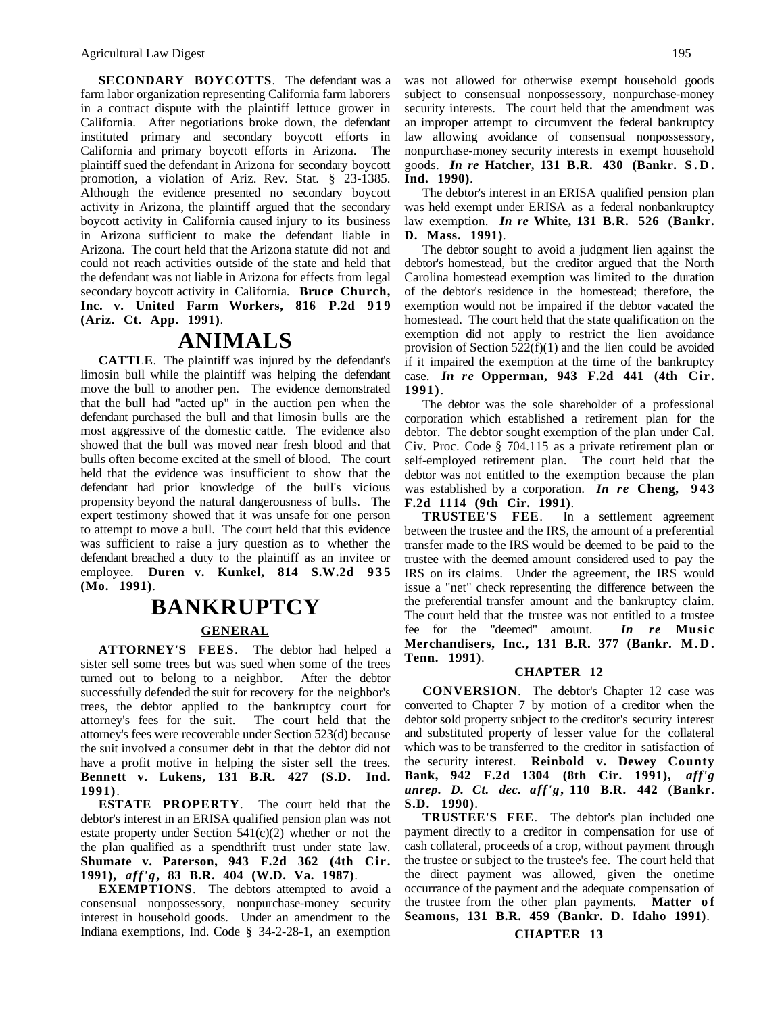**SECONDARY BOYCOTTS**. The defendant was a farm labor organization representing California farm laborers in a contract dispute with the plaintiff lettuce grower in California. After negotiations broke down, the defendant instituted primary and secondary boycott efforts in California and primary boycott efforts in Arizona. The plaintiff sued the defendant in Arizona for secondary boycott promotion, a violation of Ariz. Rev. Stat. § 23-1385. Although the evidence presented no secondary boycott activity in Arizona, the plaintiff argued that the secondary boycott activity in California caused injury to its business in Arizona sufficient to make the defendant liable in Arizona. The court held that the Arizona statute did not and could not reach activities outside of the state and held that the defendant was not liable in Arizona for effects from legal secondary boycott activity in California. **Bruce Church,** Inc. v. United Farm Workers, 816 P.2d 919 **(Ariz. Ct. App. 1991)**.

#### **ANIMALS**

**CATTLE**. The plaintiff was injured by the defendant's limosin bull while the plaintiff was helping the defendant move the bull to another pen. The evidence demonstrated that the bull had "acted up" in the auction pen when the defendant purchased the bull and that limosin bulls are the most aggressive of the domestic cattle. The evidence also showed that the bull was moved near fresh blood and that bulls often become excited at the smell of blood. The court held that the evidence was insufficient to show that the defendant had prior knowledge of the bull's vicious propensity beyond the natural dangerousness of bulls. The expert testimony showed that it was unsafe for one person to attempt to move a bull. The court held that this evidence was sufficient to raise a jury question as to whether the defendant breached a duty to the plaintiff as an invitee or employee. **Duren v. Kunkel, 814 S.W.2d 935 (Mo. 1991)**.

# **BANKRUPTCY GENERAL**

**ATTORNEY'S FEES**. The debtor had helped a sister sell some trees but was sued when some of the trees turned out to belong to a neighbor. After the debtor successfully defended the suit for recovery for the neighbor's trees, the debtor applied to the bankruptcy court for attorney's fees for the suit. The court held that the attorney's fees were recoverable under Section 523(d) because the suit involved a consumer debt in that the debtor did not have a profit motive in helping the sister sell the trees. **Bennett v. Lukens, 131 B.R. 427 (S.D. Ind. 1991)**.

**ESTATE PROPERTY**. The court held that the debtor's interest in an ERISA qualified pension plan was not estate property under Section  $541(c)(2)$  whether or not the the plan qualified as a spendthrift trust under state law. **Shumate v. Paterson, 943 F.2d 362 (4th Cir. 1991),** *aff'g***, 83 B.R. 404 (W.D. Va. 1987)**.

**EXEMPTIONS**. The debtors attempted to avoid a consensual nonpossessory, nonpurchase-money security interest in household goods. Under an amendment to the Indiana exemptions, Ind. Code § 34-2-28-1, an exemption

was not allowed for otherwise exempt household goods subject to consensual nonpossessory, nonpurchase-money security interests. The court held that the amendment was an improper attempt to circumvent the federal bankruptcy law allowing avoidance of consensual nonpossessory, nonpurchase-money security interests in exempt household goods. *In re* **Hatcher, 131 B.R. 430 (Bankr. S.D. Ind. 1990)**.

The debtor's interest in an ERISA qualified pension plan was held exempt under ERISA as a federal nonbankruptcy law exemption. *In re* **White, 131 B.R. 526 (Bankr. D. Mass. 1991)**.

The debtor sought to avoid a judgment lien against the debtor's homestead, but the creditor argued that the North Carolina homestead exemption was limited to the duration of the debtor's residence in the homestead; therefore, the exemption would not be impaired if the debtor vacated the homestead. The court held that the state qualification on the exemption did not apply to restrict the lien avoidance provision of Section 522(f)(1) and the lien could be avoided if it impaired the exemption at the time of the bankruptcy case. *In re* **Opperman, 943 F.2d 441 (4th Cir. 1991)**.

The debtor was the sole shareholder of a professional corporation which established a retirement plan for the debtor. The debtor sought exemption of the plan under Cal. Civ. Proc. Code § 704.115 as a private retirement plan or self-employed retirement plan. The court held that the debtor was not entitled to the exemption because the plan was established by a corporation. *In re* **Cheng, 943 F.2d 1114 (9th Cir. 1991)**.

**TRUSTEE'S FEE**. In a settlement agreement between the trustee and the IRS, the amount of a preferential transfer made to the IRS would be deemed to be paid to the trustee with the deemed amount considered used to pay the IRS on its claims. Under the agreement, the IRS would issue a "net" check representing the difference between the the preferential transfer amount and the bankruptcy claim. The court held that the trustee was not entitled to a trustee fee for the "deemed" amount. *In re* Music fee for the "deemed" amount. **Merchandisers, Inc., 131 B.R. 377 (Bankr. M.D. Tenn. 1991)**.

#### **CHAPTER 12**

**CONVERSION**. The debtor's Chapter 12 case was converted to Chapter 7 by motion of a creditor when the debtor sold property subject to the creditor's security interest and substituted property of lesser value for the collateral which was to be transferred to the creditor in satisfaction of the security interest. **Reinbold v. Dewey County Bank, 942 F.2d 1304 (8th Cir. 1991),** *aff'g unrep. D. Ct. dec. aff'g***, 110 B.R. 442 (Bankr. S.D. 1990)**.

**TRUSTEE'S FEE**. The debtor's plan included one payment directly to a creditor in compensation for use of cash collateral, proceeds of a crop, without payment through the trustee or subject to the trustee's fee. The court held that the direct payment was allowed, given the onetime occurrance of the payment and the adequate compensation of the trustee from the other plan payments. **Matter of Seamons, 131 B.R. 459 (Bankr. D. Idaho 1991)**.

 **CHAPTER 13**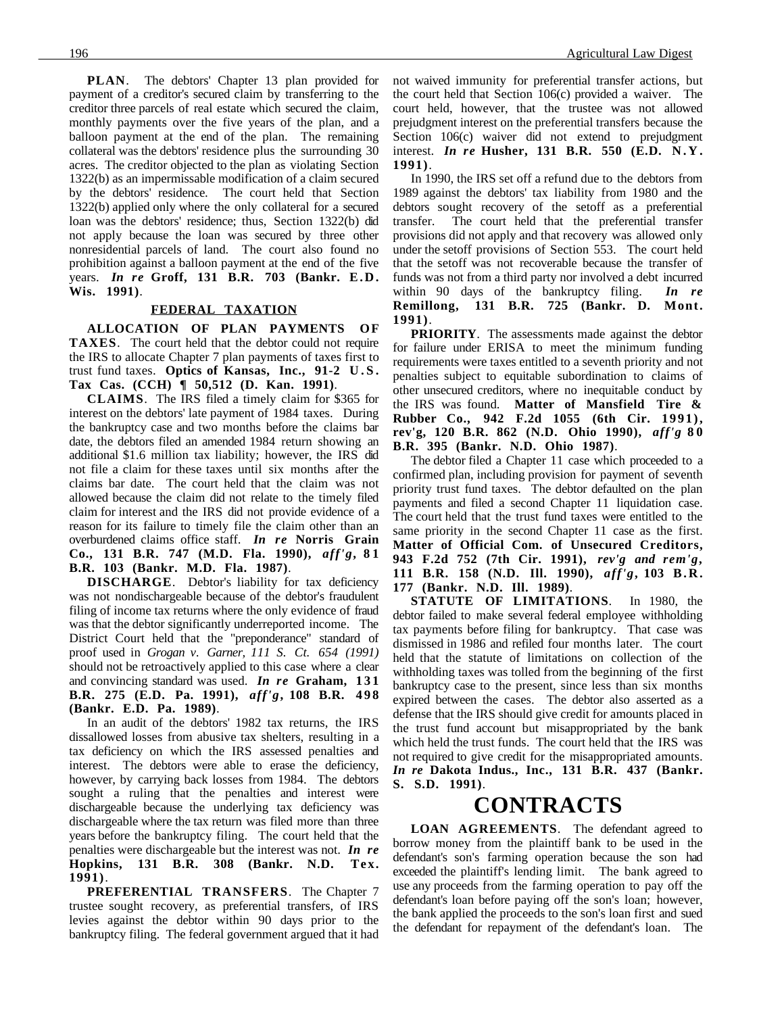**PLAN**. The debtors' Chapter 13 plan provided for payment of a creditor's secured claim by transferring to the creditor three parcels of real estate which secured the claim, monthly payments over the five years of the plan, and a balloon payment at the end of the plan. The remaining collateral was the debtors' residence plus the surrounding 30 acres. The creditor objected to the plan as violating Section 1322(b) as an impermissable modification of a claim secured by the debtors' residence. The court held that Section 1322(b) applied only where the only collateral for a secured loan was the debtors' residence; thus, Section 1322(b) did not apply because the loan was secured by three other nonresidential parcels of land. The court also found no prohibition against a balloon payment at the end of the five years. *In re* **Groff, 131 B.R. 703 (Bankr. E.D. Wis. 1991)**.

#### **FEDERAL TAXATION**

**ALLOCATION OF PLAN PAYMENTS OF TAXES**. The court held that the debtor could not require the IRS to allocate Chapter 7 plan payments of taxes first to trust fund taxes. **Optics of Kansas, Inc., 91-2 U.S. Tax Cas. (CCH) ¶ 50,512 (D. Kan. 1991)**.

**CLAIMS**. The IRS filed a timely claim for \$365 for interest on the debtors' late payment of 1984 taxes. During the bankruptcy case and two months before the claims bar date, the debtors filed an amended 1984 return showing an additional \$1.6 million tax liability; however, the IRS did not file a claim for these taxes until six months after the claims bar date. The court held that the claim was not allowed because the claim did not relate to the timely filed claim for interest and the IRS did not provide evidence of a reason for its failure to timely file the claim other than an overburdened claims office staff. *In re* **Norris Grain Co., 131 B.R. 747 (M.D. Fla. 1990),** *aff'g***, 8 1 B.R. 103 (Bankr. M.D. Fla. 1987)**.

**DISCHARGE**. Debtor's liability for tax deficiency was not nondischargeable because of the debtor's fraudulent filing of income tax returns where the only evidence of fraud was that the debtor significantly underreported income. The District Court held that the "preponderance" standard of proof used in *Grogan v. Garner, 111 S. Ct. 654 (1991)* should not be retroactively applied to this case where a clear and convincing standard was used. *In re* Graham, 131 **B.R. 275 (E.D. Pa. 1991),** *aff'g***, 108 B.R. 4 9 8 (Bankr. E.D. Pa. 1989)**.

In an audit of the debtors' 1982 tax returns, the IRS dissallowed losses from abusive tax shelters, resulting in a tax deficiency on which the IRS assessed penalties and interest. The debtors were able to erase the deficiency, however, by carrying back losses from 1984. The debtors sought a ruling that the penalties and interest were dischargeable because the underlying tax deficiency was dischargeable where the tax return was filed more than three years before the bankruptcy filing. The court held that the penalties were dischargeable but the interest was not. *In re* **Hopkins, 131 B.R. 308 (Bankr. N.D. Tex. 1991)**.

**PREFERENTIAL TRANSFERS**. The Chapter 7 trustee sought recovery, as preferential transfers, of IRS levies against the debtor within 90 days prior to the bankruptcy filing. The federal government argued that it had not waived immunity for preferential transfer actions, but the court held that Section 106(c) provided a waiver. The court held, however, that the trustee was not allowed prejudgment interest on the preferential transfers because the Section 106(c) waiver did not extend to prejudgment interest. *In re* **Husher, 131 B.R. 550 (E.D. N.Y. 1991)**.

In 1990, the IRS set off a refund due to the debtors from 1989 against the debtors' tax liability from 1980 and the debtors sought recovery of the setoff as a preferential transfer. The court held that the preferential transfer provisions did not apply and that recovery was allowed only under the setoff provisions of Section 553. The court held that the setoff was not recoverable because the transfer of funds was not from a third party nor involved a debt incurred within 90 days of the bankruptcy filing. *In re* **Remillong, 131 B.R. 725 (Bankr. D. Mont. 1991)**.

**PRIORITY**. The assessments made against the debtor for failure under ERISA to meet the minimum funding requirements were taxes entitled to a seventh priority and not penalties subject to equitable subordination to claims of other unsecured creditors, where no inequitable conduct by the IRS was found. **Matter of Mansfield Tire & Rubber Co., 942 F.2d 1055 (6th Cir. 1991), rev'g, 120 B.R. 862 (N.D. Ohio 1990),** *aff'g* **80 B.R. 395 (Bankr. N.D. Ohio 1987)**.

The debtor filed a Chapter 11 case which proceeded to a confirmed plan, including provision for payment of seventh priority trust fund taxes. The debtor defaulted on the plan payments and filed a second Chapter 11 liquidation case. The court held that the trust fund taxes were entitled to the same priority in the second Chapter 11 case as the first. **Matter of Official Com. of Unsecured Creditors, 943 F.2d 752 (7th Cir. 1991),** *rev'g and rem'g***, 111 B.R. 158 (N.D. Ill. 1990),** *aff'g***, 103 B.R. 177 (Bankr. N.D. Ill. 1989)**.

**STATUTE OF LIMITATIONS**. In 1980, the debtor failed to make several federal employee withholding tax payments before filing for bankruptcy. That case was dismissed in 1986 and refiled four months later. The court held that the statute of limitations on collection of the withholding taxes was tolled from the beginning of the first bankruptcy case to the present, since less than six months expired between the cases. The debtor also asserted as a defense that the IRS should give credit for amounts placed in the trust fund account but misappropriated by the bank which held the trust funds. The court held that the IRS was not required to give credit for the misappropriated amounts. *In re* **Dakota Indus., Inc., 131 B.R. 437 (Bankr. S. S.D. 1991)**.

#### **CONTRACTS**

**LOAN AGREEMENTS**. The defendant agreed to borrow money from the plaintiff bank to be used in the defendant's son's farming operation because the son had exceeded the plaintiff's lending limit. The bank agreed to use any proceeds from the farming operation to pay off the defendant's loan before paying off the son's loan; however, the bank applied the proceeds to the son's loan first and sued the defendant for repayment of the defendant's loan. The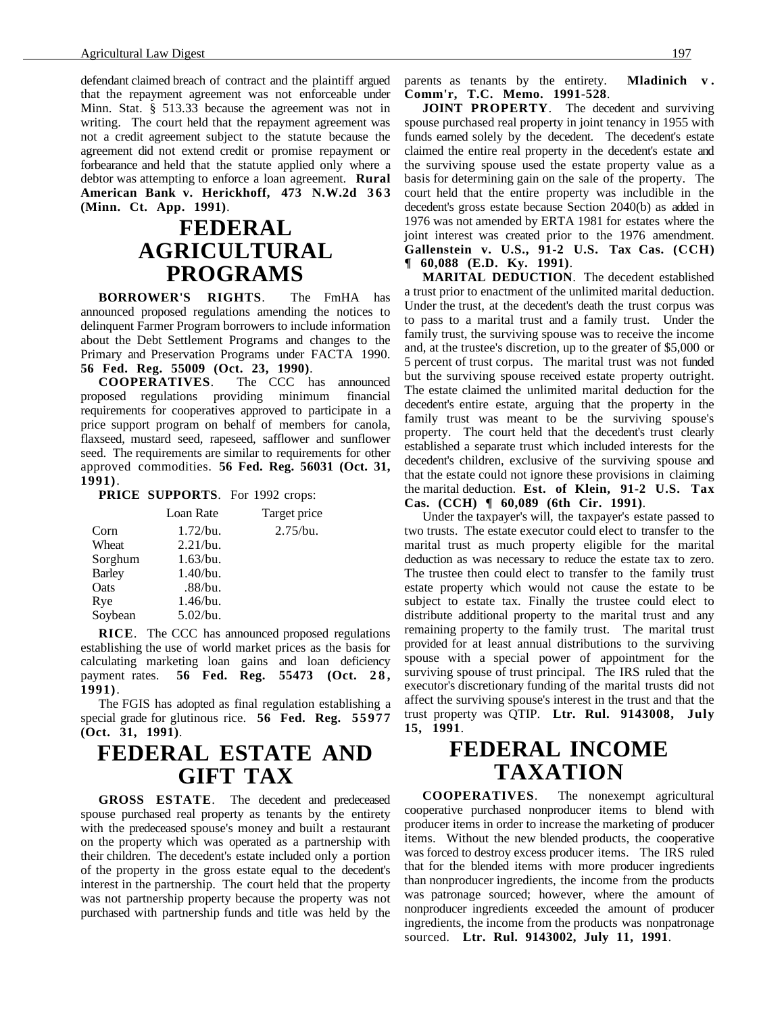defendant claimed breach of contract and the plaintiff argued that the repayment agreement was not enforceable under Minn. Stat. § 513.33 because the agreement was not in writing. The court held that the repayment agreement was not a credit agreement subject to the statute because the agreement did not extend credit or promise repayment or forbearance and held that the statute applied only where a debtor was attempting to enforce a loan agreement. **Rural** American Bank v. Herickhoff, 473 N.W.2d 363 **(Minn. Ct. App. 1991)**.

### **FEDERAL AGRICULTURAL PROGRAMS**

**BORROWER'S RIGHTS**. The FmHA has announced proposed regulations amending the notices to delinquent Farmer Program borrowers to include information about the Debt Settlement Programs and changes to the Primary and Preservation Programs under FACTA 1990. **56 Fed. Reg. 55009 (Oct. 23, 1990)**.

**COOPERATIVES**. The CCC has announced proposed regulations providing minimum financial requirements for cooperatives approved to participate in a price support program on behalf of members for canola, flaxseed, mustard seed, rapeseed, safflower and sunflower seed. The requirements are similar to requirements for other approved commodities. **56 Fed. Reg. 56031 (Oct. 31, 1991)**.

**PRICE SUPPORTS**. For 1992 crops:

|               | Loan Rate   | Target price |
|---------------|-------------|--------------|
| Corn          | $1.72$ /bu. | 2.75/bu.     |
| Wheat         | 2.21/bu.    |              |
| Sorghum       | 1.63/bu.    |              |
| <b>Barley</b> | 1.40/bu.    |              |
| Oats          | .88/bu.     |              |
| Rye           | 1.46/bu.    |              |
| Soybean       | 5.02/bu.    |              |

**RICE**. The CCC has announced proposed regulations establishing the use of world market prices as the basis for calculating marketing loan gains and loan deficiency payment rates. **56 Fed. Reg. 55473** (Oct. 28, **1991)**.

The FGIS has adopted as final regulation establishing a special grade for glutinous rice. **56 Fed. Reg. 55977 (Oct. 31, 1991)**.

### **FEDERAL ESTATE AND GIFT TAX**

**GROSS ESTATE**. The decedent and predeceased spouse purchased real property as tenants by the entirety with the predeceased spouse's money and built a restaurant on the property which was operated as a partnership with their children. The decedent's estate included only a portion of the property in the gross estate equal to the decedent's interest in the partnership. The court held that the property was not partnership property because the property was not purchased with partnership funds and title was held by the parents as tenants by the entirety. **Mladinich v . Comm'r, T.C. Memo. 1991-528**.

**JOINT PROPERTY**. The decedent and surviving spouse purchased real property in joint tenancy in 1955 with funds earned solely by the decedent. The decedent's estate claimed the entire real property in the decedent's estate and the surviving spouse used the estate property value as a basis for determining gain on the sale of the property. The court held that the entire property was includible in the decedent's gross estate because Section 2040(b) as added in 1976 was not amended by ERTA 1981 for estates where the joint interest was created prior to the 1976 amendment. **Gallenstein v. U.S., 91-2 U.S. Tax Cas. (CCH) ¶ 60,088 (E.D. Ky. 1991)**.

**MARITAL DEDUCTION**. The decedent established a trust prior to enactment of the unlimited marital deduction. Under the trust, at the decedent's death the trust corpus was to pass to a marital trust and a family trust. Under the family trust, the surviving spouse was to receive the income and, at the trustee's discretion, up to the greater of \$5,000 or 5 percent of trust corpus. The marital trust was not funded but the surviving spouse received estate property outright. The estate claimed the unlimited marital deduction for the decedent's entire estate, arguing that the property in the family trust was meant to be the surviving spouse's property. The court held that the decedent's trust clearly established a separate trust which included interests for the decedent's children, exclusive of the surviving spouse and that the estate could not ignore these provisions in claiming the marital deduction. **Est. of Klein, 91-2 U.S. Tax Cas. (CCH) ¶ 60,089 (6th Cir. 1991)**.

Under the taxpayer's will, the taxpayer's estate passed to two trusts. The estate executor could elect to transfer to the marital trust as much property eligible for the marital deduction as was necessary to reduce the estate tax to zero. The trustee then could elect to transfer to the family trust estate property which would not cause the estate to be subject to estate tax. Finally the trustee could elect to distribute additional property to the marital trust and any remaining property to the family trust. The marital trust provided for at least annual distributions to the surviving spouse with a special power of appointment for the surviving spouse of trust principal. The IRS ruled that the executor's discretionary funding of the marital trusts did not affect the surviving spouse's interest in the trust and that the trust property was QTIP. **Ltr. Rul. 9143008, July 15, 1991**.

### **FEDERAL INCOME TAXATION**

**COOPERATIVES**. The nonexempt agricultural cooperative purchased nonproducer items to blend with producer items in order to increase the marketing of producer items. Without the new blended products, the cooperative was forced to destroy excess producer items. The IRS ruled that for the blended items with more producer ingredients than nonproducer ingredients, the income from the products was patronage sourced; however, where the amount of nonproducer ingredients exceeded the amount of producer ingredients, the income from the products was nonpatronage sourced. **Ltr. Rul. 9143002, July 11, 1991**.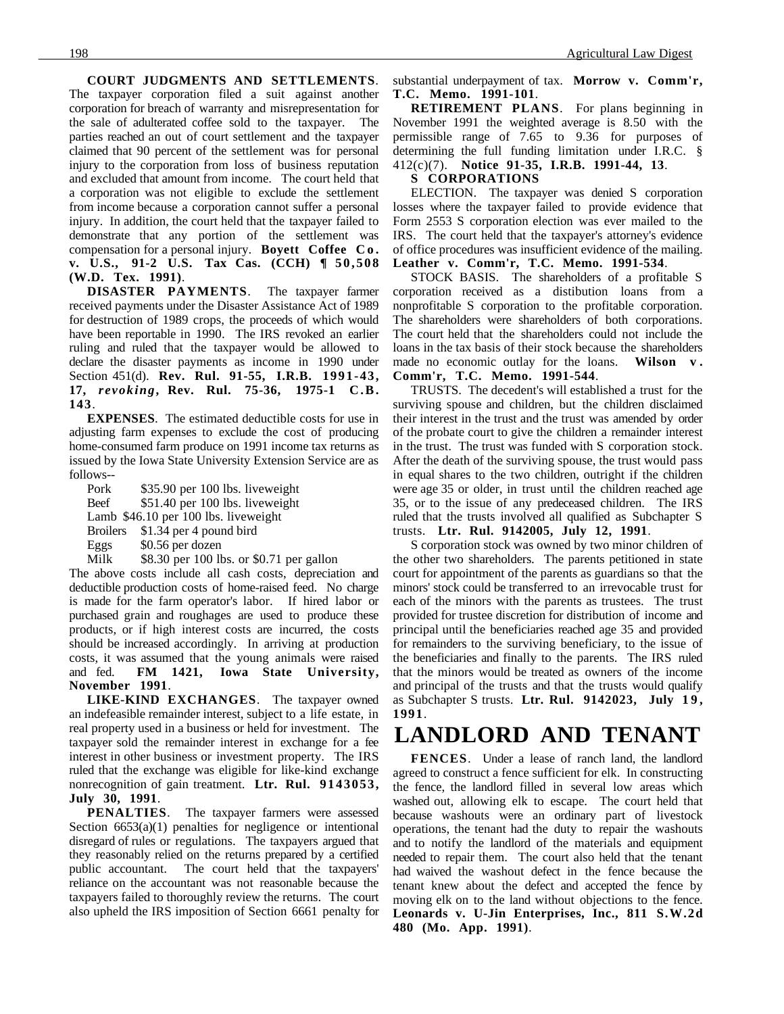**COURT JUDGMENTS AND SETTLEMENTS**. The taxpayer corporation filed a suit against another corporation for breach of warranty and misrepresentation for the sale of adulterated coffee sold to the taxpayer. The parties reached an out of court settlement and the taxpayer claimed that 90 percent of the settlement was for personal injury to the corporation from loss of business reputation and excluded that amount from income. The court held that a corporation was not eligible to exclude the settlement from income because a corporation cannot suffer a personal injury. In addition, the court held that the taxpayer failed to demonstrate that any portion of the settlement was compensation for a personal injury. **Boyett Coffee C o . v. U.S., 91-2 U.S. Tax Cas. (CCH) ¶ 50,508 (W.D. Tex. 1991)**.

**DISASTER PAYMENTS**. The taxpayer farmer received payments under the Disaster Assistance Act of 1989 for destruction of 1989 crops, the proceeds of which would have been reportable in 1990. The IRS revoked an earlier ruling and ruled that the taxpayer would be allowed to declare the disaster payments as income in 1990 under Section 451(d). **Rev. Rul. 91-55, I.R.B. 1991-43, 17,** *revoking***, Rev. Rul. 75-36, 1975-1 C.B. 143**.

**EXPENSES**. The estimated deductible costs for use in adjusting farm expenses to exclude the cost of producing home-consumed farm produce on 1991 income tax returns as issued by the Iowa State University Extension Service are as follows--

Pork \$35.90 per 100 lbs. liveweight Beef \$51.40 per 100 lbs. liveweight Lamb \$46.10 per 100 lbs. liveweight Broilers \$1.34 per 4 pound bird Eggs \$0.56 per dozen

Milk \$8.30 per 100 lbs. or \$0.71 per gallon

The above costs include all cash costs, depreciation and deductible production costs of home-raised feed. No charge is made for the farm operator's labor. If hired labor or purchased grain and roughages are used to produce these products, or if high interest costs are incurred, the costs should be increased accordingly. In arriving at production costs, it was assumed that the young animals were raised and fed. **FM 1421, Iowa State University, November 1991**.

**LIKE-KIND EXCHANGES**. The taxpayer owned an indefeasible remainder interest, subject to a life estate, in real property used in a business or held for investment. The taxpayer sold the remainder interest in exchange for a fee interest in other business or investment property. The IRS ruled that the exchange was eligible for like-kind exchange nonrecognition of gain treatment. **Ltr. Rul. 9143053, July 30, 1991**.

**PENALTIES**. The taxpayer farmers were assessed Section  $6653(a)(1)$  penalties for negligence or intentional disregard of rules or regulations. The taxpayers argued that they reasonably relied on the returns prepared by a certified public accountant. The court held that the taxpayers' reliance on the accountant was not reasonable because the taxpayers failed to thoroughly review the returns. The court also upheld the IRS imposition of Section 6661 penalty for substantial underpayment of tax. **Morrow v. Comm'r, T.C. Memo. 1991-101**.

**RETIREMENT PLANS**. For plans beginning in November 1991 the weighted average is 8.50 with the permissible range of 7.65 to 9.36 for purposes of determining the full funding limitation under I.R.C. § 412(c)(7). **Notice 91-35, I.R.B. 1991-44, 13**.

**S CORPORATIONS**

ELECTION. The taxpayer was denied S corporation losses where the taxpayer failed to provide evidence that Form 2553 S corporation election was ever mailed to the IRS. The court held that the taxpayer's attorney's evidence of office procedures was insufficient evidence of the mailing. **Leather v. Comm'r, T.C. Memo. 1991-534**.

STOCK BASIS. The shareholders of a profitable S corporation received as a distibution loans from a nonprofitable S corporation to the profitable corporation. The shareholders were shareholders of both corporations. The court held that the shareholders could not include the loans in the tax basis of their stock because the shareholders made no economic outlay for the loans. **Wilson v . Comm'r, T.C. Memo. 1991-544**.

TRUSTS. The decedent's will established a trust for the surviving spouse and children, but the children disclaimed their interest in the trust and the trust was amended by order of the probate court to give the children a remainder interest in the trust. The trust was funded with S corporation stock. After the death of the surviving spouse, the trust would pass in equal shares to the two children, outright if the children were age 35 or older, in trust until the children reached age 35, or to the issue of any predeceased children. The IRS ruled that the trusts involved all qualified as Subchapter S trusts. **Ltr. Rul. 9142005, July 12, 1991**.

S corporation stock was owned by two minor children of the other two shareholders. The parents petitioned in state court for appointment of the parents as guardians so that the minors' stock could be transferred to an irrevocable trust for each of the minors with the parents as trustees. The trust provided for trustee discretion for distribution of income and principal until the beneficiaries reached age 35 and provided for remainders to the surviving beneficiary, to the issue of the beneficiaries and finally to the parents. The IRS ruled that the minors would be treated as owners of the income and principal of the trusts and that the trusts would qualify as Subchapter S trusts. Ltr. Rul. 9142023, July 19, **1991**.

## **LANDLORD AND TENANT**

**FENCES**. Under a lease of ranch land, the landlord agreed to construct a fence sufficient for elk. In constructing the fence, the landlord filled in several low areas which washed out, allowing elk to escape. The court held that because washouts were an ordinary part of livestock operations, the tenant had the duty to repair the washouts and to notify the landlord of the materials and equipment needed to repair them. The court also held that the tenant had waived the washout defect in the fence because the tenant knew about the defect and accepted the fence by moving elk on to the land without objections to the fence. **Leonards v. U-Jin Enterprises, Inc., 811 S.W.2d 480 (Mo. App. 1991)**.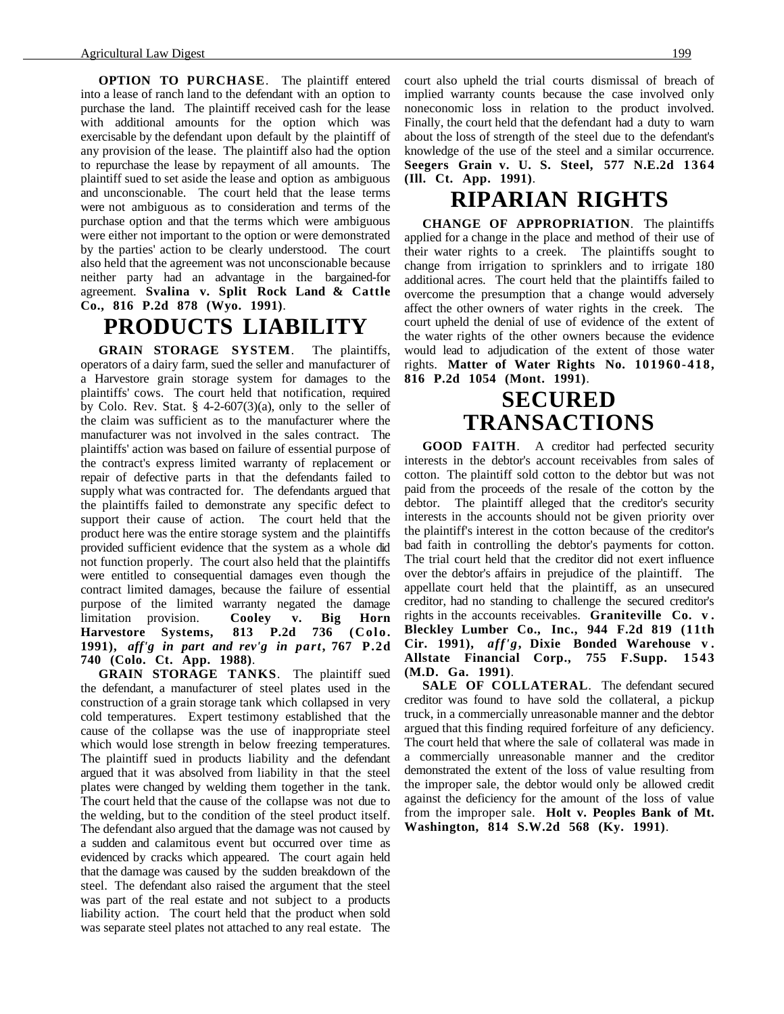**OPTION TO PURCHASE.** The plaintiff entered into a lease of ranch land to the defendant with an option to purchase the land. The plaintiff received cash for the lease with additional amounts for the option which was exercisable by the defendant upon default by the plaintiff of any provision of the lease. The plaintiff also had the option to repurchase the lease by repayment of all amounts. The plaintiff sued to set aside the lease and option as ambiguous and unconscionable. The court held that the lease terms were not ambiguous as to consideration and terms of the purchase option and that the terms which were ambiguous were either not important to the option or were demonstrated by the parties' action to be clearly understood. The court also held that the agreement was not unconscionable because neither party had an advantage in the bargained-for agreement. **Svalina v. Split Rock Land & Cattle Co., 816 P.2d 878 (Wyo. 1991)**.

#### **PRODUCTS LIABILITY**

**GRAIN STORAGE SYSTEM**. The plaintiffs, operators of a dairy farm, sued the seller and manufacturer of a Harvestore grain storage system for damages to the plaintiffs' cows. The court held that notification, required by Colo. Rev. Stat.  $\S$  4-2-607(3)(a), only to the seller of the claim was sufficient as to the manufacturer where the manufacturer was not involved in the sales contract. The plaintiffs' action was based on failure of essential purpose of the contract's express limited warranty of replacement or repair of defective parts in that the defendants failed to supply what was contracted for. The defendants argued that the plaintiffs failed to demonstrate any specific defect to support their cause of action. The court held that the product here was the entire storage system and the plaintiffs provided sufficient evidence that the system as a whole did not function properly. The court also held that the plaintiffs were entitled to consequential damages even though the contract limited damages, because the failure of essential purpose of the limited warranty negated the damage limitation provision. **Cooley v. Big Horn Harvestore Systems, 813 P.2d 736 (Colo. 1991),** *aff'g in part and rev'g in part***, 767 P.2d 740 (Colo. Ct. App. 1988)**.

**GRAIN STORAGE TANKS**. The plaintiff sued the defendant, a manufacturer of steel plates used in the construction of a grain storage tank which collapsed in very cold temperatures. Expert testimony established that the cause of the collapse was the use of inappropriate steel which would lose strength in below freezing temperatures. The plaintiff sued in products liability and the defendant argued that it was absolved from liability in that the steel plates were changed by welding them together in the tank. The court held that the cause of the collapse was not due to the welding, but to the condition of the steel product itself. The defendant also argued that the damage was not caused by a sudden and calamitous event but occurred over time as evidenced by cracks which appeared. The court again held that the damage was caused by the sudden breakdown of the steel. The defendant also raised the argument that the steel was part of the real estate and not subject to a products liability action. The court held that the product when sold was separate steel plates not attached to any real estate. The court also upheld the trial courts dismissal of breach of implied warranty counts because the case involved only noneconomic loss in relation to the product involved. Finally, the court held that the defendant had a duty to warn about the loss of strength of the steel due to the defendant's knowledge of the use of the steel and a similar occurrence. **Seegers Grain v. U. S. Steel, 577 N.E.2d 1364 (Ill. Ct. App. 1991)**.

### **RIPARIAN RIGHTS**

**CHANGE OF APPROPRIATION**. The plaintiffs applied for a change in the place and method of their use of their water rights to a creek. The plaintiffs sought to change from irrigation to sprinklers and to irrigate 180 additional acres. The court held that the plaintiffs failed to overcome the presumption that a change would adversely affect the other owners of water rights in the creek. The court upheld the denial of use of evidence of the extent of the water rights of the other owners because the evidence would lead to adjudication of the extent of those water rights. **Matter of Water Rights No. 101960-418, 816 P.2d 1054 (Mont. 1991)**.

### **SECURED TRANSACTIONS**

**GOOD FAITH**. A creditor had perfected security interests in the debtor's account receivables from sales of cotton. The plaintiff sold cotton to the debtor but was not paid from the proceeds of the resale of the cotton by the debtor. The plaintiff alleged that the creditor's security interests in the accounts should not be given priority over the plaintiff's interest in the cotton because of the creditor's bad faith in controlling the debtor's payments for cotton. The trial court held that the creditor did not exert influence over the debtor's affairs in prejudice of the plaintiff. The appellate court held that the plaintiff, as an unsecured creditor, had no standing to challenge the secured creditor's rights in the accounts receivables. **Graniteville Co. v . Bleckley Lumber Co., Inc., 944 F.2d 819 (11th Cir. 1991),** *aff'g***, Dixie Bonded Warehouse v . Allstate Financial Corp., 755 F.Supp. 1543 (M.D. Ga. 1991)**.

**SALE OF COLLATERAL**. The defendant secured creditor was found to have sold the collateral, a pickup truck, in a commercially unreasonable manner and the debtor argued that this finding required forfeiture of any deficiency. The court held that where the sale of collateral was made in a commercially unreasonable manner and the creditor demonstrated the extent of the loss of value resulting from the improper sale, the debtor would only be allowed credit against the deficiency for the amount of the loss of value from the improper sale. **Holt v. Peoples Bank of Mt. Washington, 814 S.W.2d 568 (Ky. 1991)**.